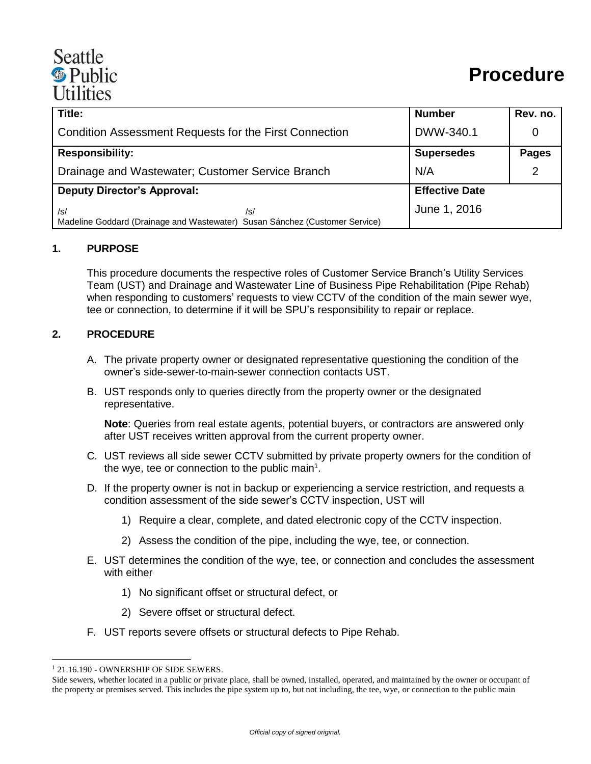# Seattle <sup><sup>®</sup> Public</sup> **Utilities**

| Title:                                                                                    | <b>Number</b>         | Rev. no.       |
|-------------------------------------------------------------------------------------------|-----------------------|----------------|
| <b>Condition Assessment Requests for the First Connection</b>                             | DWW-340.1             | 0              |
| <b>Responsibility:</b>                                                                    | <b>Supersedes</b>     | <b>Pages</b>   |
| Drainage and Wastewater; Customer Service Branch                                          | N/A                   | $\overline{2}$ |
| <b>Deputy Director's Approval:</b>                                                        | <b>Effective Date</b> |                |
| /s/<br>/s/<br>Madeline Goddard (Drainage and Wastewater) Susan Sánchez (Customer Service) | June 1, 2016          |                |

#### **1. PURPOSE**

This procedure documents the respective roles of Customer Service Branch's Utility Services Team (UST) and Drainage and Wastewater Line of Business Pipe Rehabilitation (Pipe Rehab) when responding to customers' requests to view CCTV of the condition of the main sewer wye, tee or connection, to determine if it will be SPU's responsibility to repair or replace.

#### **2. PROCEDURE**

- A. The private property owner or designated representative questioning the condition of the owner's side-sewer-to-main-sewer connection contacts UST.
- B. UST responds only to queries directly from the property owner or the designated representative.

**Note**: Queries from real estate agents, potential buyers, or contractors are answered only after UST receives written approval from the current property owner.

- C. UST reviews all side sewer CCTV submitted by private property owners for the condition of the wye, tee or connection to the public main<sup>1</sup>.
- D. If the property owner is not in backup or experiencing a service restriction, and requests a condition assessment of the side sewer's CCTV inspection, UST will
	- 1) Require a clear, complete, and dated electronic copy of the CCTV inspection.
	- 2) Assess the condition of the pipe, including the wye, tee, or connection.
- E. UST determines the condition of the wye, tee, or connection and concludes the assessment with either
	- 1) No significant offset or structural defect, or
	- 2) Severe offset or structural defect.
- F. UST reports severe offsets or structural defects to Pipe Rehab.

 $\overline{a}$ <sup>1</sup> 21.16.190 - OWNERSHIP OF SIDE SEWERS.

Side sewers, whether located in a public or private place, shall be owned, installed, operated, and maintained by the owner or occupant of the property or premises served. This includes the pipe system up to, but not including, the tee, wye, or connection to the public main